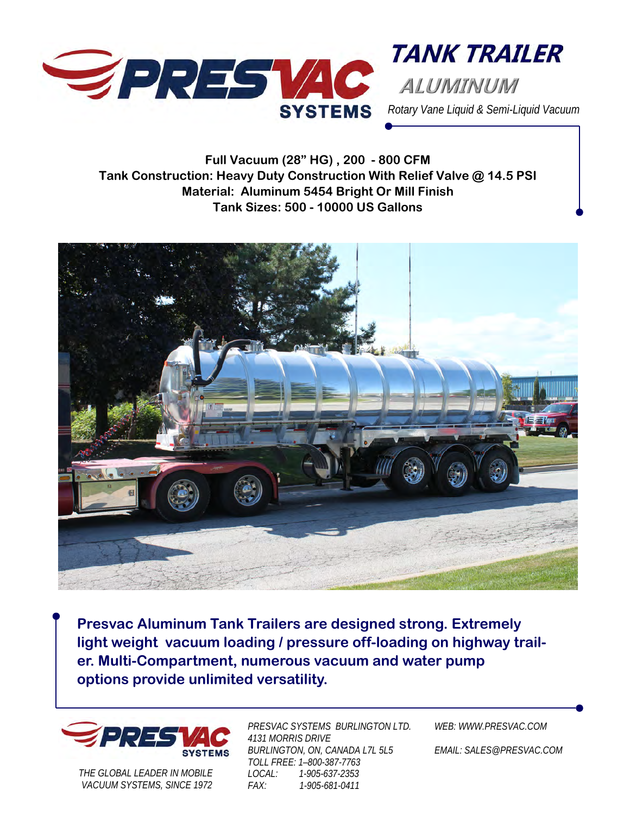

*Rotary Vane Liquid & Semi-Liquid Vacuum* 

**TANK TRAILER** 

**Full Vacuum (28" HG) , 200 - 800 CFM Tank Construction: Heavy Duty Construction With Relief Valve @ 14.5 PSI Material: Aluminum 5454 Bright Or Mill Finish Tank Sizes: 500 - 10000 US Gallons** 



**Presvac Aluminum Tank Trailers are designed strong. Extremely light weight vacuum loading / pressure off-loading on highway trailer. Multi-Compartment, numerous vacuum and water pump options provide unlimited versatility.** 



*THE GLOBAL LEADER IN MOBILE VACUUM SYSTEMS, SINCE 1972* 

*PRESVAC SYSTEMS BURLINGTON LTD. 4131 MORRIS DRIVE BURLINGTON, ON, CANADA L7L 5L5 TOLL FREE: 1–800-387-7763 LOCAL: 1-905-637-2353 FAX: 1-905-681-0411* 

*WEB: WWW.PRESVAC.COM* 

*EMAIL: SALES@PRESVAC.COM*